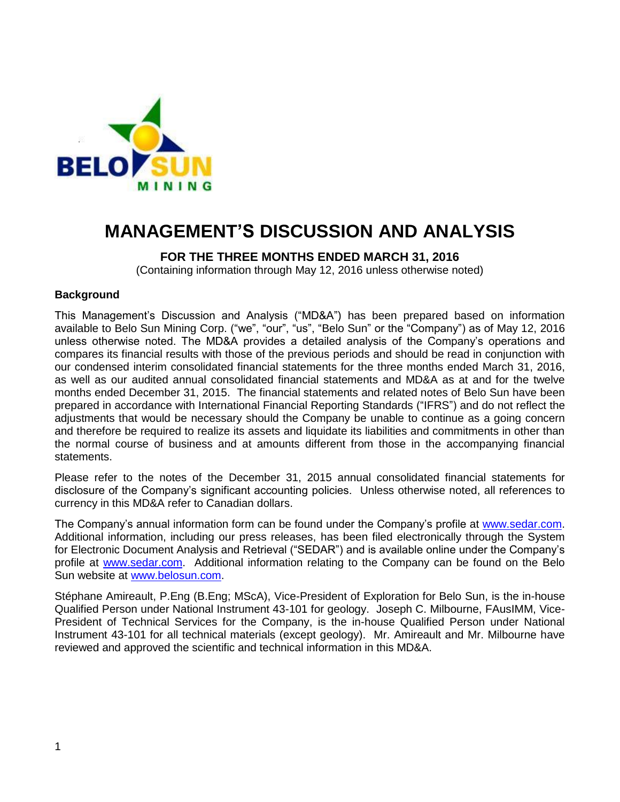

# **MANAGEMENT'S DISCUSSION AND ANALYSIS**

# **FOR THE THREE MONTHS ENDED MARCH 31, 2016**

(Containing information through May 12, 2016 unless otherwise noted)

### **Background**

This Management's Discussion and Analysis ("MD&A") has been prepared based on information available to Belo Sun Mining Corp. ("we", "our", "us", "Belo Sun" or the "Company") as of May 12, 2016 unless otherwise noted. The MD&A provides a detailed analysis of the Company's operations and compares its financial results with those of the previous periods and should be read in conjunction with our condensed interim consolidated financial statements for the three months ended March 31, 2016, as well as our audited annual consolidated financial statements and MD&A as at and for the twelve months ended December 31, 2015. The financial statements and related notes of Belo Sun have been prepared in accordance with International Financial Reporting Standards ("IFRS") and do not reflect the adjustments that would be necessary should the Company be unable to continue as a going concern and therefore be required to realize its assets and liquidate its liabilities and commitments in other than the normal course of business and at amounts different from those in the accompanying financial statements.

Please refer to the notes of the December 31, 2015 annual consolidated financial statements for disclosure of the Company's significant accounting policies. Unless otherwise noted, all references to currency in this MD&A refer to Canadian dollars.

The Company's annual information form can be found under the Company's profile at www.sedar.com. Additional information, including our press releases, has been filed electronically through the System for Electronic Document Analysis and Retrieval ("SEDAR") and is available online under the Company's profile at www.sedar.com. Additional information relating to the Company can be found on the Belo Sun website at www.belosun.com.

Stéphane Amireault, P.Eng (B.Eng; MScA), Vice-President of Exploration for Belo Sun, is the in-house Qualified Person under National Instrument 43-101 for geology. Joseph C. Milbourne, FAusIMM, Vice-President of Technical Services for the Company, is the in-house Qualified Person under National Instrument 43-101 for all technical materials (except geology). Mr. Amireault and Mr. Milbourne have reviewed and approved the scientific and technical information in this MD&A.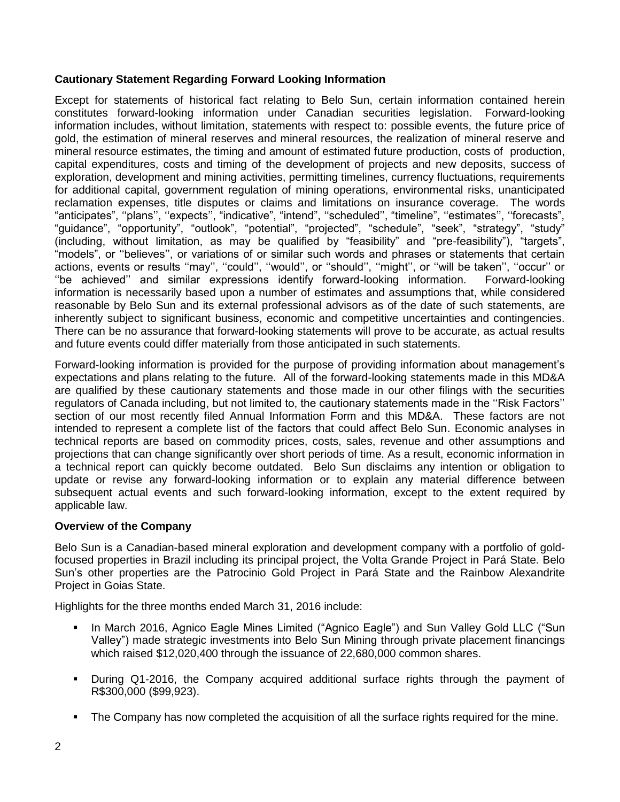# **Cautionary Statement Regarding Forward Looking Information**

Except for statements of historical fact relating to Belo Sun, certain information contained herein constitutes forward-looking information under Canadian securities legislation. Forward-looking information includes, without limitation, statements with respect to: possible events, the future price of gold, the estimation of mineral reserves and mineral resources, the realization of mineral reserve and mineral resource estimates, the timing and amount of estimated future production, costs of production, capital expenditures, costs and timing of the development of projects and new deposits, success of exploration, development and mining activities, permitting timelines, currency fluctuations, requirements for additional capital, government regulation of mining operations, environmental risks, unanticipated reclamation expenses, title disputes or claims and limitations on insurance coverage. The words "anticipates", ''plans'', ''expects'', "indicative", "intend", ''scheduled'', "timeline", ''estimates'', ''forecasts", "guidance", "opportunity", "outlook", "potential", "projected", "schedule", "seek", "strategy", "study" (including, without limitation, as may be qualified by "feasibility" and "pre-feasibility"), "targets", "models", or ''believes'', or variations of or similar such words and phrases or statements that certain actions, events or results "may", "could", "would", or "should", "might", or "will be taken", "occur" or ''be achieved'' and similar expressions identify forward-looking information. Forward-looking information is necessarily based upon a number of estimates and assumptions that, while considered reasonable by Belo Sun and its external professional advisors as of the date of such statements, are inherently subject to significant business, economic and competitive uncertainties and contingencies. There can be no assurance that forward-looking statements will prove to be accurate, as actual results and future events could differ materially from those anticipated in such statements.

Forward-looking information is provided for the purpose of providing information about management's expectations and plans relating to the future. All of the forward-looking statements made in this MD&A are qualified by these cautionary statements and those made in our other filings with the securities regulators of Canada including, but not limited to, the cautionary statements made in the ''Risk Factors'' section of our most recently filed Annual Information Form and this MD&A. These factors are not intended to represent a complete list of the factors that could affect Belo Sun. Economic analyses in technical reports are based on commodity prices, costs, sales, revenue and other assumptions and projections that can change significantly over short periods of time. As a result, economic information in a technical report can quickly become outdated. Belo Sun disclaims any intention or obligation to update or revise any forward-looking information or to explain any material difference between subsequent actual events and such forward-looking information, except to the extent required by applicable law.

## **Overview of the Company**

Belo Sun is a Canadian-based mineral exploration and development company with a portfolio of goldfocused properties in Brazil including its principal project, the Volta Grande Project in Pará State. Belo Sun's other properties are the Patrocinio Gold Project in Pará State and the Rainbow Alexandrite Project in Goias State.

Highlights for the three months ended March 31, 2016 include:

- In March 2016, Agnico Eagle Mines Limited ("Agnico Eagle") and Sun Valley Gold LLC ("Sun Valley") made strategic investments into Belo Sun Mining through private placement financings which raised \$12,020,400 through the issuance of 22,680,000 common shares.
- During Q1-2016, the Company acquired additional surface rights through the payment of R\$300,000 (\$99,923).
- The Company has now completed the acquisition of all the surface rights required for the mine.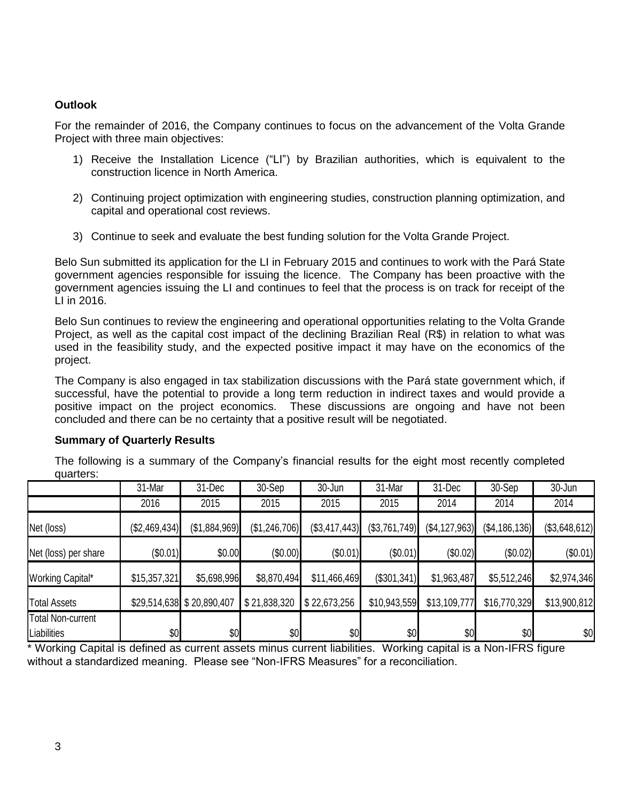## **Outlook**

For the remainder of 2016, the Company continues to focus on the advancement of the Volta Grande Project with three main objectives:

- 1) Receive the Installation Licence ("LI") by Brazilian authorities, which is equivalent to the construction licence in North America.
- 2) Continuing project optimization with engineering studies, construction planning optimization, and capital and operational cost reviews.
- 3) Continue to seek and evaluate the best funding solution for the Volta Grande Project.

Belo Sun submitted its application for the LI in February 2015 and continues to work with the Pará State government agencies responsible for issuing the licence. The Company has been proactive with the government agencies issuing the LI and continues to feel that the process is on track for receipt of the LI in 2016.

Belo Sun continues to review the engineering and operational opportunities relating to the Volta Grande Project, as well as the capital cost impact of the declining Brazilian Real (R\$) in relation to what was used in the feasibility study, and the expected positive impact it may have on the economics of the project.

The Company is also engaged in tax stabilization discussions with the Pará state government which, if successful, have the potential to provide a long term reduction in indirect taxes and would provide a positive impact on the project economics. These discussions are ongoing and have not been concluded and there can be no certainty that a positive result will be negotiated.

## **Summary of Quarterly Results**

The following is a summary of the Company's financial results for the eight most recently completed quarters:

|                                  | 31-Mar        | 31-Dec                    | 30-Sep        | 30-Jun        | 31-Mar        | 31-Dec          | 30-Sep        | 30-Jun        |
|----------------------------------|---------------|---------------------------|---------------|---------------|---------------|-----------------|---------------|---------------|
|                                  | 2016          | 2015                      | 2015          | 2015          | 2015          | 2014            | 2014          | 2014          |
| Net (loss)                       | (\$2,469,434) | (\$1,884,969)             | (\$1,246,706) | (\$3,417,443) | (\$3,761,749) | (\$4, 127, 963) | (\$4,186,136) | (\$3,648,612) |
| Net (loss) per share             | (\$0.01)      | \$0.00                    | (\$0.00)      | (\$0.01)      | (\$0.01)      | (\$0.02)        | (\$0.02)      | (\$0.01)      |
| Working Capital*                 | \$15,357,321  | \$5,698,996               | \$8,870,494   | \$11,466,469  | $(\$301,341)$ | \$1,963,487     | \$5,512,246   | \$2,974,346   |
| <b>Total Assets</b>              |               | \$29,514,638 \$20,890,407 | \$21,838,320  | \$22,673,256  | \$10,943,559  | \$13,109,777    | \$16,770,329  | \$13,900,812  |
| Total Non-current<br>Liabilities | \$0           | \$0                       | \$0           | \$0           | \$0           | \$0             | \$0           | \$0           |

\* Working Capital is defined as current assets minus current liabilities. Working capital is a Non-IFRS figure without a standardized meaning. Please see "Non-IFRS Measures" for a reconciliation.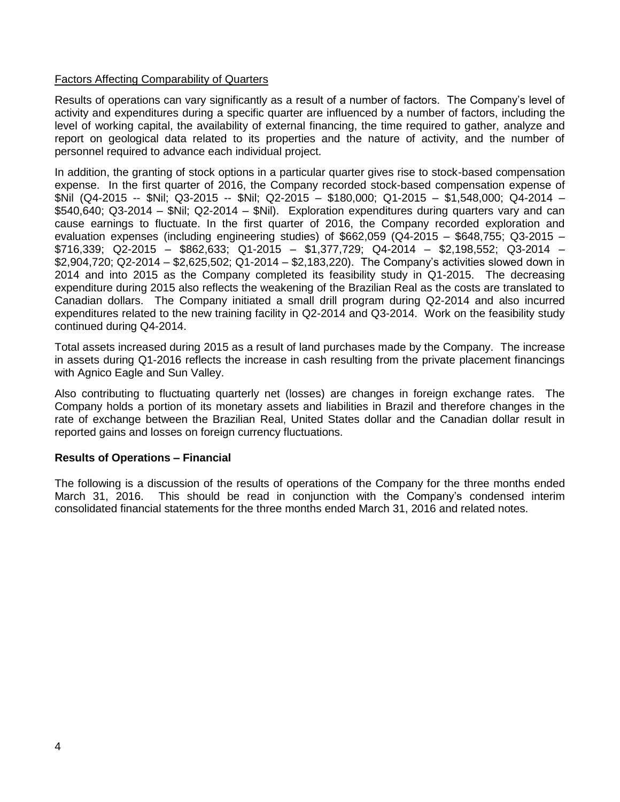## Factors Affecting Comparability of Quarters

Results of operations can vary significantly as a result of a number of factors. The Company's level of activity and expenditures during a specific quarter are influenced by a number of factors, including the level of working capital, the availability of external financing, the time required to gather, analyze and report on geological data related to its properties and the nature of activity, and the number of personnel required to advance each individual project.

In addition, the granting of stock options in a particular quarter gives rise to stock-based compensation expense. In the first quarter of 2016, the Company recorded stock-based compensation expense of \$Nil (Q4-2015 -- \$Nil; Q3-2015 -- \$Nil; Q2-2015 – \$180,000; Q1-2015 – \$1,548,000; Q4-2014 – \$540,640; Q3-2014 – \$Nil; Q2-2014 – \$Nil). Exploration expenditures during quarters vary and can cause earnings to fluctuate. In the first quarter of 2016, the Company recorded exploration and evaluation expenses (including engineering studies) of \$662,059 (Q4-2015 – \$648,755; Q3-2015 – \$716,339; Q2-2015 – \$862,633; Q1-2015 – \$1,377,729; Q4-2014 – \$2,198,552; Q3-2014 – \$2,904,720; Q2-2014 – \$2,625,502; Q1-2014 – \$2,183,220). The Company's activities slowed down in 2014 and into 2015 as the Company completed its feasibility study in Q1-2015. The decreasing expenditure during 2015 also reflects the weakening of the Brazilian Real as the costs are translated to Canadian dollars. The Company initiated a small drill program during Q2-2014 and also incurred expenditures related to the new training facility in Q2-2014 and Q3-2014. Work on the feasibility study continued during Q4-2014.

Total assets increased during 2015 as a result of land purchases made by the Company. The increase in assets during Q1-2016 reflects the increase in cash resulting from the private placement financings with Agnico Eagle and Sun Valley.

Also contributing to fluctuating quarterly net (losses) are changes in foreign exchange rates. The Company holds a portion of its monetary assets and liabilities in Brazil and therefore changes in the rate of exchange between the Brazilian Real, United States dollar and the Canadian dollar result in reported gains and losses on foreign currency fluctuations.

## **Results of Operations – Financial**

The following is a discussion of the results of operations of the Company for the three months ended March 31, 2016. This should be read in conjunction with the Company's condensed interim consolidated financial statements for the three months ended March 31, 2016 and related notes.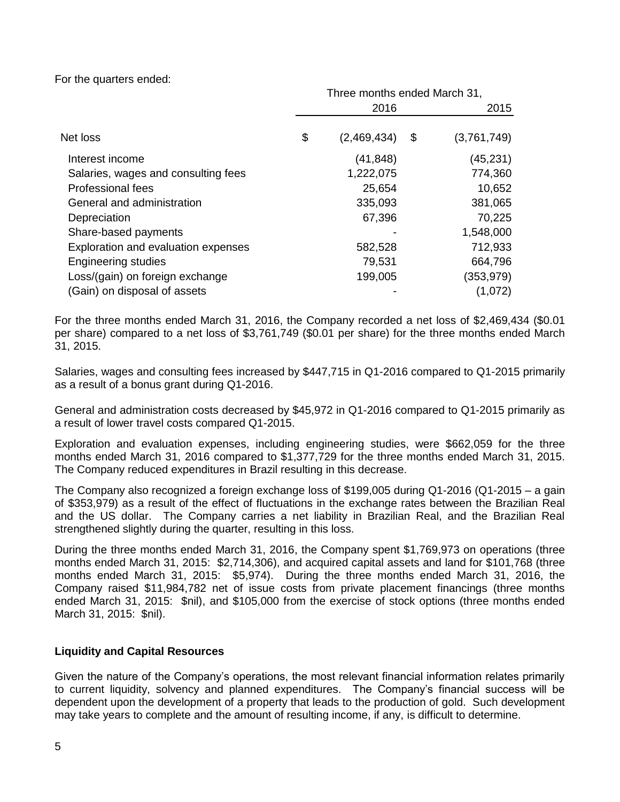For the quarters ended:

|                                     | Three months ended March 31, |             |    |             |  |
|-------------------------------------|------------------------------|-------------|----|-------------|--|
|                                     |                              | 2016        |    | 2015        |  |
| Net loss                            | \$                           | (2,469,434) | \$ | (3,761,749) |  |
| Interest income                     |                              | (41, 848)   |    | (45,231)    |  |
| Salaries, wages and consulting fees |                              | 1,222,075   |    | 774,360     |  |
| Professional fees                   |                              | 25,654      |    | 10,652      |  |
| General and administration          |                              | 335,093     |    | 381,065     |  |
| Depreciation                        |                              | 67,396      |    | 70,225      |  |
| Share-based payments                |                              |             |    | 1,548,000   |  |
| Exploration and evaluation expenses |                              | 582,528     |    | 712,933     |  |
| <b>Engineering studies</b>          |                              | 79,531      |    | 664,796     |  |
| Loss/(gain) on foreign exchange     |                              | 199,005     |    | (353,979)   |  |
| (Gain) on disposal of assets        |                              |             |    | (1,072)     |  |

For the three months ended March 31, 2016, the Company recorded a net loss of \$2,469,434 (\$0.01 per share) compared to a net loss of \$3,761,749 (\$0.01 per share) for the three months ended March 31, 2015.

Salaries, wages and consulting fees increased by \$447,715 in Q1-2016 compared to Q1-2015 primarily as a result of a bonus grant during Q1-2016.

General and administration costs decreased by \$45,972 in Q1-2016 compared to Q1-2015 primarily as a result of lower travel costs compared Q1-2015.

Exploration and evaluation expenses, including engineering studies, were \$662,059 for the three months ended March 31, 2016 compared to \$1,377,729 for the three months ended March 31, 2015. The Company reduced expenditures in Brazil resulting in this decrease.

The Company also recognized a foreign exchange loss of \$199,005 during Q1-2016 (Q1-2015 – a gain of \$353,979) as a result of the effect of fluctuations in the exchange rates between the Brazilian Real and the US dollar. The Company carries a net liability in Brazilian Real, and the Brazilian Real strengthened slightly during the quarter, resulting in this loss.

During the three months ended March 31, 2016, the Company spent \$1,769,973 on operations (three months ended March 31, 2015: \$2,714,306), and acquired capital assets and land for \$101,768 (three months ended March 31, 2015: \$5,974). During the three months ended March 31, 2016, the Company raised \$11,984,782 net of issue costs from private placement financings (three months ended March 31, 2015: \$nil), and \$105,000 from the exercise of stock options (three months ended March 31, 2015: \$nil).

# **Liquidity and Capital Resources**

Given the nature of the Company's operations, the most relevant financial information relates primarily to current liquidity, solvency and planned expenditures. The Company's financial success will be dependent upon the development of a property that leads to the production of gold. Such development may take years to complete and the amount of resulting income, if any, is difficult to determine.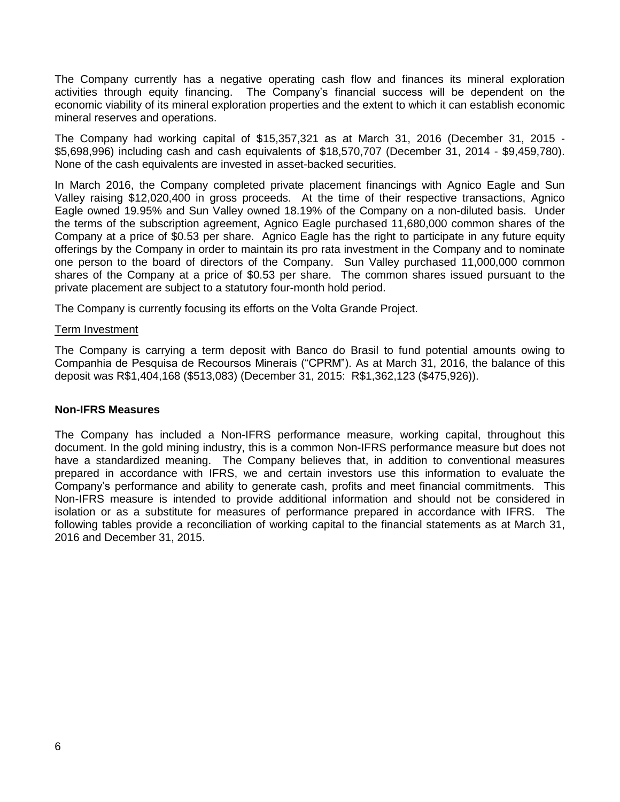The Company currently has a negative operating cash flow and finances its mineral exploration activities through equity financing. The Company's financial success will be dependent on the economic viability of its mineral exploration properties and the extent to which it can establish economic mineral reserves and operations.

The Company had working capital of \$15,357,321 as at March 31, 2016 (December 31, 2015 - \$5,698,996) including cash and cash equivalents of \$18,570,707 (December 31, 2014 - \$9,459,780). None of the cash equivalents are invested in asset-backed securities.

In March 2016, the Company completed private placement financings with Agnico Eagle and Sun Valley raising \$12,020,400 in gross proceeds. At the time of their respective transactions, Agnico Eagle owned 19.95% and Sun Valley owned 18.19% of the Company on a non-diluted basis. Under the terms of the subscription agreement, Agnico Eagle purchased 11,680,000 common shares of the Company at a price of \$0.53 per share. Agnico Eagle has the right to participate in any future equity offerings by the Company in order to maintain its pro rata investment in the Company and to nominate one person to the board of directors of the Company. Sun Valley purchased 11,000,000 common shares of the Company at a price of \$0.53 per share. The common shares issued pursuant to the private placement are subject to a statutory four-month hold period.

The Company is currently focusing its efforts on the Volta Grande Project.

#### Term Investment

The Company is carrying a term deposit with Banco do Brasil to fund potential amounts owing to Companhia de Pesquisa de Recoursos Minerais ("CPRM"). As at March 31, 2016, the balance of this deposit was R\$1,404,168 (\$513,083) (December 31, 2015: R\$1,362,123 (\$475,926)).

#### **Non-IFRS Measures**

The Company has included a Non-IFRS performance measure, working capital, throughout this document. In the gold mining industry, this is a common Non-IFRS performance measure but does not have a standardized meaning. The Company believes that, in addition to conventional measures prepared in accordance with IFRS, we and certain investors use this information to evaluate the Company's performance and ability to generate cash, profits and meet financial commitments. This Non-IFRS measure is intended to provide additional information and should not be considered in isolation or as a substitute for measures of performance prepared in accordance with IFRS. The following tables provide a reconciliation of working capital to the financial statements as at March 31, 2016 and December 31, 2015.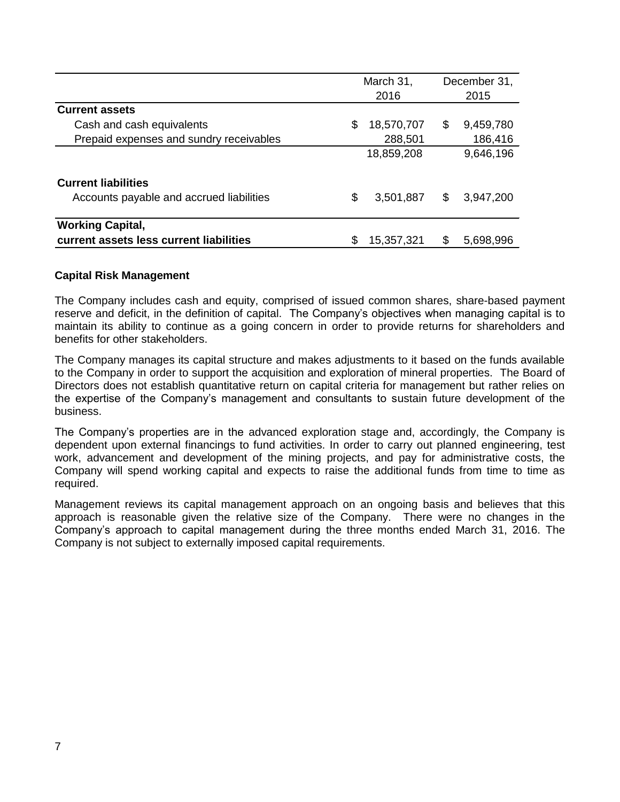|                                                                        | March 31, |            | December 31, |           |
|------------------------------------------------------------------------|-----------|------------|--------------|-----------|
|                                                                        |           | 2016       |              | 2015      |
| <b>Current assets</b>                                                  |           |            |              |           |
| Cash and cash equivalents                                              | \$        | 18,570,707 | \$           | 9,459,780 |
| Prepaid expenses and sundry receivables                                |           | 288,501    |              | 186,416   |
|                                                                        |           | 18,859,208 |              | 9,646,196 |
| <b>Current liabilities</b><br>Accounts payable and accrued liabilities | \$        | 3,501,887  | \$           | 3,947,200 |
|                                                                        |           |            |              |           |
| <b>Working Capital,</b>                                                |           |            |              |           |
| current assets less current liabilities                                | S         | 15,357,321 | S            | 5,698,996 |

#### **Capital Risk Management**

The Company includes cash and equity, comprised of issued common shares, share-based payment reserve and deficit, in the definition of capital. The Company's objectives when managing capital is to maintain its ability to continue as a going concern in order to provide returns for shareholders and benefits for other stakeholders.

The Company manages its capital structure and makes adjustments to it based on the funds available to the Company in order to support the acquisition and exploration of mineral properties. The Board of Directors does not establish quantitative return on capital criteria for management but rather relies on the expertise of the Company's management and consultants to sustain future development of the business.

The Company's properties are in the advanced exploration stage and, accordingly, the Company is dependent upon external financings to fund activities. In order to carry out planned engineering, test work, advancement and development of the mining projects, and pay for administrative costs, the Company will spend working capital and expects to raise the additional funds from time to time as required.

Management reviews its capital management approach on an ongoing basis and believes that this approach is reasonable given the relative size of the Company. There were no changes in the Company's approach to capital management during the three months ended March 31, 2016. The Company is not subject to externally imposed capital requirements.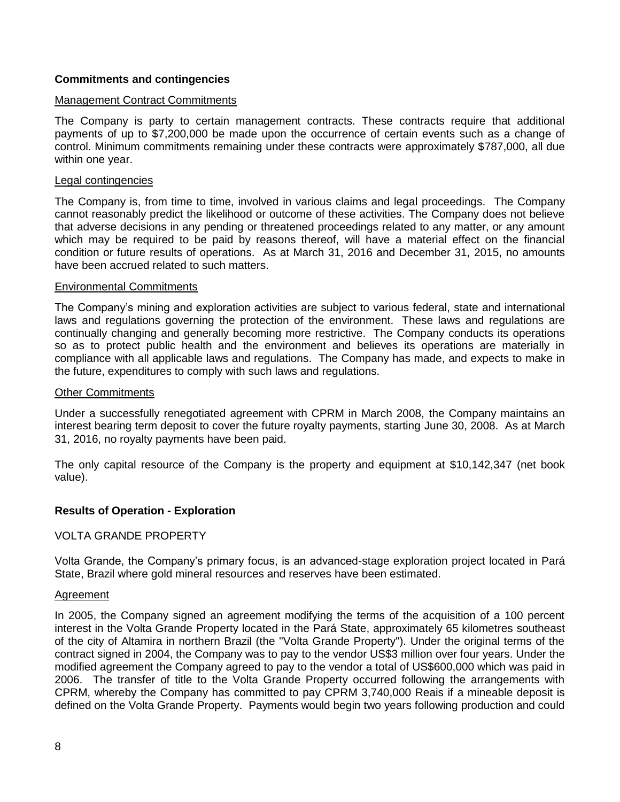## **Commitments and contingencies**

#### Management Contract Commitments

The Company is party to certain management contracts. These contracts require that additional payments of up to \$7,200,000 be made upon the occurrence of certain events such as a change of control. Minimum commitments remaining under these contracts were approximately \$787,000, all due within one year.

#### Legal contingencies

The Company is, from time to time, involved in various claims and legal proceedings. The Company cannot reasonably predict the likelihood or outcome of these activities. The Company does not believe that adverse decisions in any pending or threatened proceedings related to any matter, or any amount which may be required to be paid by reasons thereof, will have a material effect on the financial condition or future results of operations. As at March 31, 2016 and December 31, 2015, no amounts have been accrued related to such matters.

#### Environmental Commitments

The Company's mining and exploration activities are subject to various federal, state and international laws and regulations governing the protection of the environment. These laws and regulations are continually changing and generally becoming more restrictive. The Company conducts its operations so as to protect public health and the environment and believes its operations are materially in compliance with all applicable laws and regulations. The Company has made, and expects to make in the future, expenditures to comply with such laws and regulations.

#### Other Commitments

Under a successfully renegotiated agreement with CPRM in March 2008, the Company maintains an interest bearing term deposit to cover the future royalty payments, starting June 30, 2008. As at March 31, 2016, no royalty payments have been paid.

The only capital resource of the Company is the property and equipment at \$10,142,347 (net book value).

#### **Results of Operation - Exploration**

#### VOLTA GRANDE PROPERTY

Volta Grande, the Company's primary focus, is an advanced-stage exploration project located in Pará State, Brazil where gold mineral resources and reserves have been estimated.

#### Agreement

In 2005, the Company signed an agreement modifying the terms of the acquisition of a 100 percent interest in the Volta Grande Property located in the Pará State, approximately 65 kilometres southeast of the city of Altamira in northern Brazil (the "Volta Grande Property"). Under the original terms of the contract signed in 2004, the Company was to pay to the vendor US\$3 million over four years. Under the modified agreement the Company agreed to pay to the vendor a total of US\$600,000 which was paid in 2006. The transfer of title to the Volta Grande Property occurred following the arrangements with CPRM, whereby the Company has committed to pay CPRM 3,740,000 Reais if a mineable deposit is defined on the Volta Grande Property. Payments would begin two years following production and could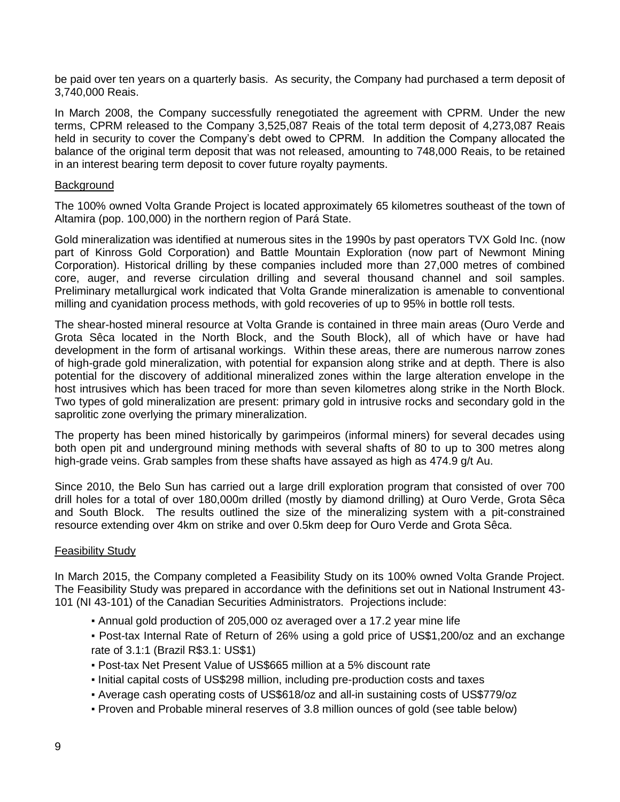be paid over ten years on a quarterly basis. As security, the Company had purchased a term deposit of 3,740,000 Reais.

In March 2008, the Company successfully renegotiated the agreement with CPRM. Under the new terms, CPRM released to the Company 3,525,087 Reais of the total term deposit of 4,273,087 Reais held in security to cover the Company's debt owed to CPRM. In addition the Company allocated the balance of the original term deposit that was not released, amounting to 748,000 Reais, to be retained in an interest bearing term deposit to cover future royalty payments.

#### **Background**

The 100% owned Volta Grande Project is located approximately 65 kilometres southeast of the town of Altamira (pop. 100,000) in the northern region of Pará State.

Gold mineralization was identified at numerous sites in the 1990s by past operators TVX Gold Inc. (now part of Kinross Gold Corporation) and Battle Mountain Exploration (now part of Newmont Mining Corporation). Historical drilling by these companies included more than 27,000 metres of combined core, auger, and reverse circulation drilling and several thousand channel and soil samples. Preliminary metallurgical work indicated that Volta Grande mineralization is amenable to conventional milling and cyanidation process methods, with gold recoveries of up to 95% in bottle roll tests.

The shear-hosted mineral resource at Volta Grande is contained in three main areas (Ouro Verde and Grota Sêca located in the North Block, and the South Block), all of which have or have had development in the form of artisanal workings. Within these areas, there are numerous narrow zones of high-grade gold mineralization, with potential for expansion along strike and at depth. There is also potential for the discovery of additional mineralized zones within the large alteration envelope in the host intrusives which has been traced for more than seven kilometres along strike in the North Block. Two types of gold mineralization are present: primary gold in intrusive rocks and secondary gold in the saprolitic zone overlying the primary mineralization.

The property has been mined historically by garimpeiros (informal miners) for several decades using both open pit and underground mining methods with several shafts of 80 to up to 300 metres along high-grade veins. Grab samples from these shafts have assayed as high as 474.9 g/t Au.

Since 2010, the Belo Sun has carried out a large drill exploration program that consisted of over 700 drill holes for a total of over 180,000m drilled (mostly by diamond drilling) at Ouro Verde, Grota Sêca and South Block. The results outlined the size of the mineralizing system with a pit-constrained resource extending over 4km on strike and over 0.5km deep for Ouro Verde and Grota Sêca.

## Feasibility Study

In March 2015, the Company completed a Feasibility Study on its 100% owned Volta Grande Project. The Feasibility Study was prepared in accordance with the definitions set out in National Instrument 43- 101 (NI 43-101) of the Canadian Securities Administrators. Projections include:

- Annual gold production of 205,000 oz averaged over a 17.2 year mine life
- Post-tax Internal Rate of Return of 26% using a gold price of US\$1,200/oz and an exchange rate of 3.1:1 (Brazil R\$3.1: US\$1)
- Post-tax Net Present Value of US\$665 million at a 5% discount rate
- Initial capital costs of US\$298 million, including pre-production costs and taxes
- Average cash operating costs of US\$618/oz and all-in sustaining costs of US\$779/oz
- Proven and Probable mineral reserves of 3.8 million ounces of gold (see table below)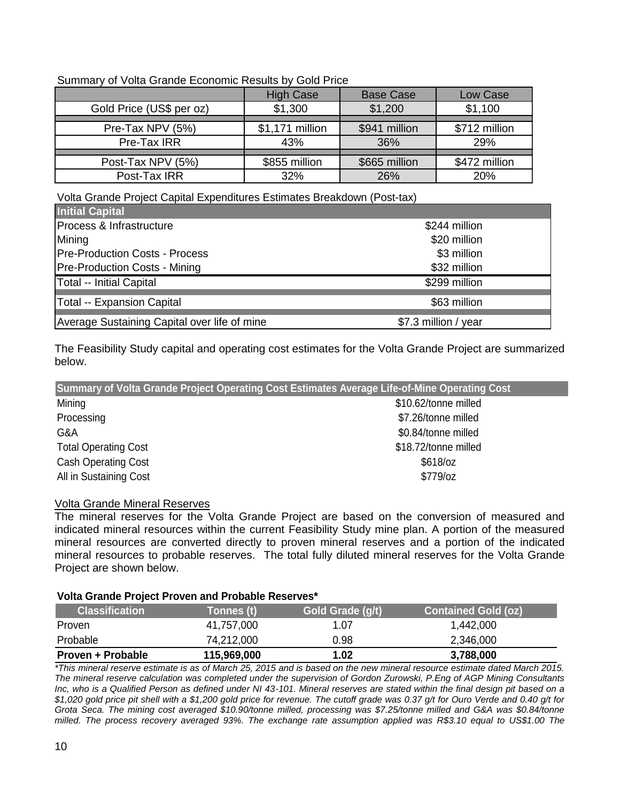|                          | <b>High Case</b> | <b>Base Case</b> | Low Case      |
|--------------------------|------------------|------------------|---------------|
| Gold Price (US\$ per oz) | \$1,300          | \$1,200          | \$1,100       |
|                          |                  |                  |               |
| Pre-Tax NPV (5%)         | \$1,171 million  | \$941 million    | \$712 million |
| Pre-Tax IRR              | 43%              | 36%              | 29%           |
|                          |                  |                  |               |
| Post-Tax NPV (5%)        | \$855 million    | \$665 million    | \$472 million |
| Post-Tax IRR             | 32%              | 26%              | <b>20%</b>    |

## Summary of Volta Grande Economic Results by Gold Price

Volta Grande Project Capital Expenditures Estimates Breakdown (Post-tax)

| <b>Initial Capital</b>                       |                      |
|----------------------------------------------|----------------------|
| Process & Infrastructure                     | \$244 million        |
| Mining                                       | \$20 million         |
| <b>Pre-Production Costs - Process</b>        | \$3 million          |
| <b>Pre-Production Costs - Mining</b>         | \$32 million         |
| Total -- Initial Capital                     | \$299 million        |
| Total -- Expansion Capital                   | \$63 million         |
| Average Sustaining Capital over life of mine | \$7.3 million / year |

The Feasibility Study capital and operating cost estimates for the Volta Grande Project are summarized below.

| Summary of Volta Grande Project Operating Cost Estimates Average Life-of-Mine Operating Cost |                      |
|----------------------------------------------------------------------------------------------|----------------------|
| Mining                                                                                       | \$10.62/tonne milled |
| Processing                                                                                   | \$7.26/tonne milled  |
| G&A                                                                                          | \$0.84/tonne milled  |
| <b>Total Operating Cost</b>                                                                  | \$18.72/tonne milled |
| <b>Cash Operating Cost</b>                                                                   | $$618$ /oz           |
| All in Sustaining Cost                                                                       | \$779/oz             |

## Volta Grande Mineral Reserves

The mineral reserves for the Volta Grande Project are based on the conversion of measured and indicated mineral resources within the current Feasibility Study mine plan. A portion of the measured mineral resources are converted directly to proven mineral reserves and a portion of the indicated mineral resources to probable reserves. The total fully diluted mineral reserves for the Volta Grande Project are shown below.

## **Volta Grande Project Proven and Probable Reserves\***

| <b>Classification</b> | Tonnes (t)  | Gold Grade (g/t) | <b>Contained Gold (oz)</b> |
|-----------------------|-------------|------------------|----------------------------|
| <b>Proven</b>         | 41,757,000  | 1.07             | 1,442,000                  |
| Probable              | 74,212,000  | 0.98             | 2,346,000                  |
| Proven + Probable     | 115,969,000 | 1.02             | 3,788,000                  |

*\*This mineral reserve estimate is as of March 25, 2015 and is based on the new mineral resource estimate dated March 2015. The mineral reserve calculation was completed under the supervision of Gordon Zurowski, P.Eng of AGP Mining Consultants Inc, who is a Qualified Person as defined under NI 43-101. Mineral reserves are stated within the final design pit based on a \$1,020 gold price pit shell with a \$1,200 gold price for revenue. The cutoff grade was 0.37 g/t for Ouro Verde and 0.40 g/t for Grota Seca. The mining cost averaged \$10.90/tonne milled, processing was \$7.25/tonne milled and G&A was \$0.84/tonne milled. The process recovery averaged 93%. The exchange rate assumption applied was R\$3.10 equal to US\$1.00 The*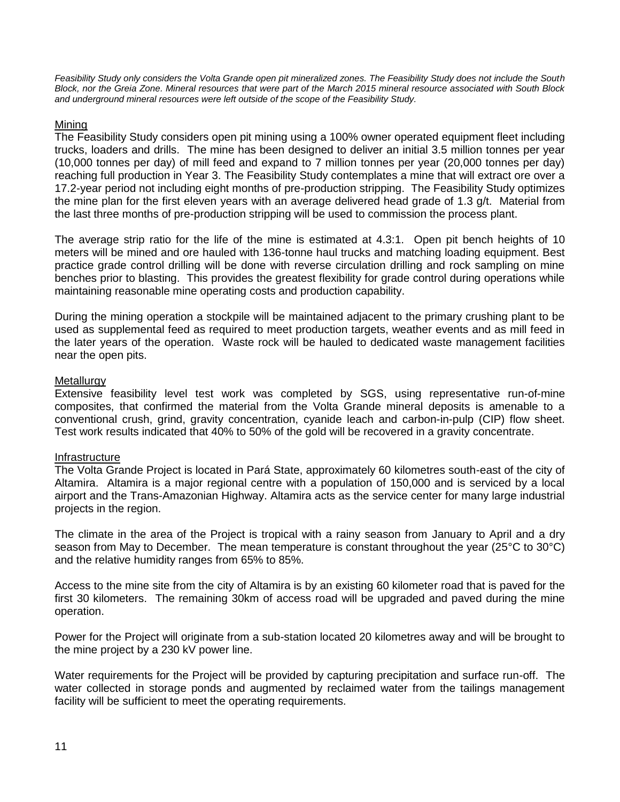*Feasibility Study only considers the Volta Grande open pit mineralized zones. The Feasibility Study does not include the South Block, nor the Greia Zone. Mineral resources that were part of the March 2015 mineral resource associated with South Block and underground mineral resources were left outside of the scope of the Feasibility Study.* 

## Mining

The Feasibility Study considers open pit mining using a 100% owner operated equipment fleet including trucks, loaders and drills. The mine has been designed to deliver an initial 3.5 million tonnes per year (10,000 tonnes per day) of mill feed and expand to 7 million tonnes per year (20,000 tonnes per day) reaching full production in Year 3. The Feasibility Study contemplates a mine that will extract ore over a 17.2-year period not including eight months of pre-production stripping. The Feasibility Study optimizes the mine plan for the first eleven years with an average delivered head grade of 1.3 g/t. Material from the last three months of pre-production stripping will be used to commission the process plant.

The average strip ratio for the life of the mine is estimated at 4.3:1. Open pit bench heights of 10 meters will be mined and ore hauled with 136-tonne haul trucks and matching loading equipment. Best practice grade control drilling will be done with reverse circulation drilling and rock sampling on mine benches prior to blasting. This provides the greatest flexibility for grade control during operations while maintaining reasonable mine operating costs and production capability.

During the mining operation a stockpile will be maintained adjacent to the primary crushing plant to be used as supplemental feed as required to meet production targets, weather events and as mill feed in the later years of the operation. Waste rock will be hauled to dedicated waste management facilities near the open pits.

### **Metallurgy**

Extensive feasibility level test work was completed by SGS, using representative run-of-mine composites, that confirmed the material from the Volta Grande mineral deposits is amenable to a conventional crush, grind, gravity concentration, cyanide leach and carbon-in-pulp (CIP) flow sheet. Test work results indicated that 40% to 50% of the gold will be recovered in a gravity concentrate.

#### Infrastructure

The Volta Grande Project is located in Pará State, approximately 60 kilometres south-east of the city of Altamira. Altamira is a major regional centre with a population of 150,000 and is serviced by a local airport and the Trans-Amazonian Highway. Altamira acts as the service center for many large industrial projects in the region.

The climate in the area of the Project is tropical with a rainy season from January to April and a dry season from May to December. The mean temperature is constant throughout the year (25°C to 30°C) and the relative humidity ranges from 65% to 85%.

Access to the mine site from the city of Altamira is by an existing 60 kilometer road that is paved for the first 30 kilometers. The remaining 30km of access road will be upgraded and paved during the mine operation.

Power for the Project will originate from a sub-station located 20 kilometres away and will be brought to the mine project by a 230 kV power line.

Water requirements for the Project will be provided by capturing precipitation and surface run-off. The water collected in storage ponds and augmented by reclaimed water from the tailings management facility will be sufficient to meet the operating requirements.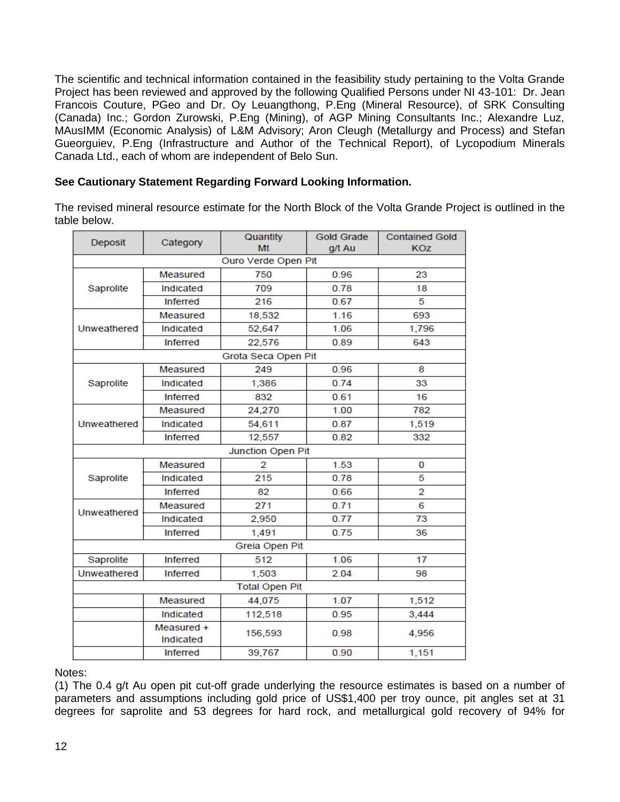The scientific and technical information contained in the feasibility study pertaining to the Volta Grande Project has been reviewed and approved by the following Qualified Persons under NI 43-101: Dr. Jean Francois Couture, PGeo and Dr. Oy Leuangthong, P.Eng (Mineral Resource), of SRK Consulting (Canada) Inc.; Gordon Zurowski, P.Eng (Mining), of AGP Mining Consultants Inc.; Alexandre Luz, MAusIMM (Economic Analysis) of L&M Advisory; Aron Cleugh (Metallurgy and Process) and Stefan Gueorguiev, P.Eng (Infrastructure and Author of the Technical Report), of Lycopodium Minerals Canada Ltd., each of whom are independent of Belo Sun.

# **See Cautionary Statement Regarding Forward Looking Information.**

The revised mineral resource estimate for the North Block of the Volta Grande Project is outlined in the table below.

| Deposit             | Category                | Quantity<br>Mt        | <b>Gold Grade</b><br>g/t Au | <b>Contained Gold</b><br><b>KOZ</b> |  |  |
|---------------------|-------------------------|-----------------------|-----------------------------|-------------------------------------|--|--|
| Ouro Verde Open Pit |                         |                       |                             |                                     |  |  |
|                     | Measured                | 750                   | 0.96                        | 23                                  |  |  |
| Saprolite           | Indicated               | 709                   | 0.78                        | 18                                  |  |  |
|                     | <b>Inferred</b>         | 216                   | 0.67                        | 5                                   |  |  |
|                     | Measured                | 18,532                | 1.16                        | 693                                 |  |  |
| Unweathered         | Indicated               | 52,647                | 1.06                        | 1,796                               |  |  |
|                     | <b>Inferred</b>         | 22,576                | 0.89                        | 643                                 |  |  |
|                     |                         | Grota Seca Open Pit   |                             |                                     |  |  |
|                     | Measured                | 249                   | 0.96                        | 8                                   |  |  |
| Saprolite           | Indicated               | 1,386                 | 0.74                        | 33                                  |  |  |
|                     | <b>Inferred</b>         | 832                   | 0.61                        | 16                                  |  |  |
|                     | Measured                | 24,270                | 1.00                        | 782                                 |  |  |
| Unweathered         | Indicated               | 54,611                | 0.87                        | 1,519                               |  |  |
|                     | <b>Inferred</b>         | 12,557                | 0.82                        | 332                                 |  |  |
|                     |                         | Junction Open Pit     |                             |                                     |  |  |
|                     | Measured                | 2                     | 1.53                        | 0                                   |  |  |
| Saprolite           | Indicated               | 215                   | 0.78                        | 5                                   |  |  |
|                     | <b>Inferred</b>         | 82                    | 0.66                        | $\overline{2}$                      |  |  |
| Unweathered         | Measured                | 271                   | 0.71                        | 6                                   |  |  |
|                     | Indicated               | 2,950                 | 0.77                        | 73                                  |  |  |
|                     | <b>Inferred</b>         | 1,491                 | 0.75                        | 36                                  |  |  |
|                     |                         | Greia Open Pit        |                             |                                     |  |  |
| Saprolite           | <b>Inferred</b>         | 512                   | 1.06                        | 17                                  |  |  |
| Unweathered         | <b>Inferred</b>         | 1,503                 | 2.04                        | 98                                  |  |  |
|                     |                         | <b>Total Open Pit</b> |                             |                                     |  |  |
|                     | Measured                | 44,075                | 1.07                        | 1,512                               |  |  |
|                     | Indicated               | 112,518               | 0.95                        | 3,444                               |  |  |
|                     | Measured +<br>Indicated | 156,593               | 0.98                        | 4,956                               |  |  |
|                     | <b>Inferred</b>         | 39,767                | 0.90                        | 1,151                               |  |  |

Notes:

(1) The 0.4 g/t Au open pit cut-off grade underlying the resource estimates is based on a number of parameters and assumptions including gold price of US\$1,400 per troy ounce, pit angles set at 31 degrees for saprolite and 53 degrees for hard rock, and metallurgical gold recovery of 94% for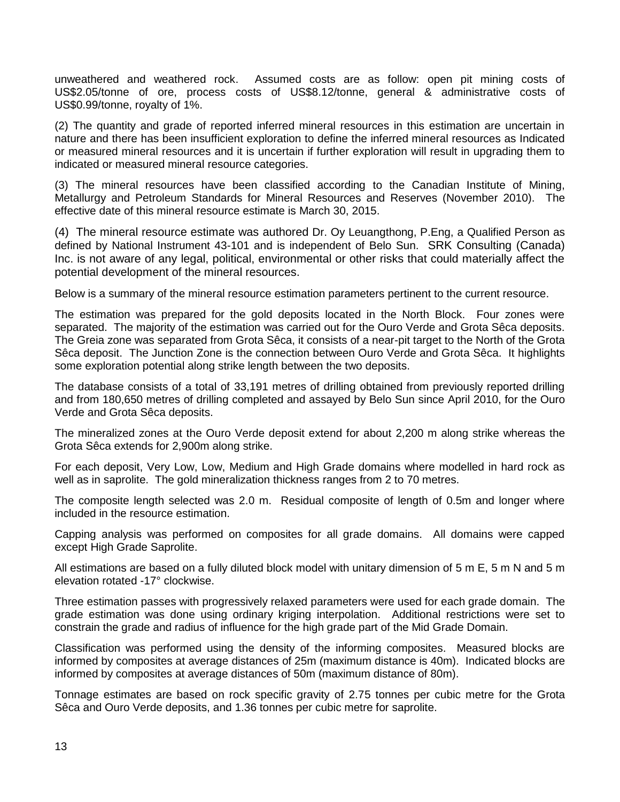unweathered and weathered rock. Assumed costs are as follow: open pit mining costs of US\$2.05/tonne of ore, process costs of US\$8.12/tonne, general & administrative costs of US\$0.99/tonne, royalty of 1%.

(2) The quantity and grade of reported inferred mineral resources in this estimation are uncertain in nature and there has been insufficient exploration to define the inferred mineral resources as Indicated or measured mineral resources and it is uncertain if further exploration will result in upgrading them to indicated or measured mineral resource categories.

(3) The mineral resources have been classified according to the Canadian Institute of Mining, Metallurgy and Petroleum Standards for Mineral Resources and Reserves (November 2010). The effective date of this mineral resource estimate is March 30, 2015.

(4) The mineral resource estimate was authored Dr. Oy Leuangthong, P.Eng, a Qualified Person as defined by National Instrument 43-101 and is independent of Belo Sun. SRK Consulting (Canada) Inc. is not aware of any legal, political, environmental or other risks that could materially affect the potential development of the mineral resources.

Below is a summary of the mineral resource estimation parameters pertinent to the current resource.

The estimation was prepared for the gold deposits located in the North Block. Four zones were separated. The majority of the estimation was carried out for the Ouro Verde and Grota Sêca deposits. The Greia zone was separated from Grota Sêca, it consists of a near-pit target to the North of the Grota Sêca deposit. The Junction Zone is the connection between Ouro Verde and Grota Sêca. It highlights some exploration potential along strike length between the two deposits.

The database consists of a total of 33,191 metres of drilling obtained from previously reported drilling and from 180,650 metres of drilling completed and assayed by Belo Sun since April 2010, for the Ouro Verde and Grota Sêca deposits.

The mineralized zones at the Ouro Verde deposit extend for about 2,200 m along strike whereas the Grota Sêca extends for 2,900m along strike.

For each deposit, Very Low, Low, Medium and High Grade domains where modelled in hard rock as well as in saprolite. The gold mineralization thickness ranges from 2 to 70 metres.

The composite length selected was 2.0 m. Residual composite of length of 0.5m and longer where included in the resource estimation.

Capping analysis was performed on composites for all grade domains. All domains were capped except High Grade Saprolite.

All estimations are based on a fully diluted block model with unitary dimension of 5 m E, 5 m N and 5 m elevation rotated -17° clockwise.

Three estimation passes with progressively relaxed parameters were used for each grade domain. The grade estimation was done using ordinary kriging interpolation. Additional restrictions were set to constrain the grade and radius of influence for the high grade part of the Mid Grade Domain.

Classification was performed using the density of the informing composites. Measured blocks are informed by composites at average distances of 25m (maximum distance is 40m). Indicated blocks are informed by composites at average distances of 50m (maximum distance of 80m).

Tonnage estimates are based on rock specific gravity of 2.75 tonnes per cubic metre for the Grota Sêca and Ouro Verde deposits, and 1.36 tonnes per cubic metre for saprolite.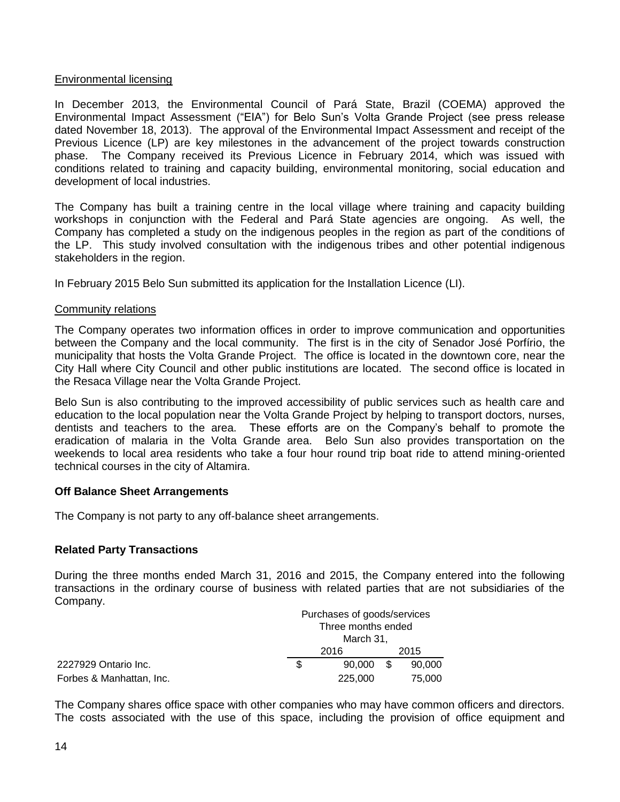#### Environmental licensing

In December 2013, the Environmental Council of Pará State, Brazil (COEMA) approved the Environmental Impact Assessment ("EIA") for Belo Sun's Volta Grande Project (see press release dated November 18, 2013). The approval of the Environmental Impact Assessment and receipt of the Previous Licence (LP) are key milestones in the advancement of the project towards construction phase. The Company received its Previous Licence in February 2014, which was issued with conditions related to training and capacity building, environmental monitoring, social education and development of local industries.

The Company has built a training centre in the local village where training and capacity building workshops in conjunction with the Federal and Pará State agencies are ongoing. As well, the Company has completed a study on the indigenous peoples in the region as part of the conditions of the LP. This study involved consultation with the indigenous tribes and other potential indigenous stakeholders in the region.

In February 2015 Belo Sun submitted its application for the Installation Licence (LI).

### Community relations

The Company operates two information offices in order to improve communication and opportunities between the Company and the local community. The first is in the city of Senador José Porfírio, the municipality that hosts the Volta Grande Project. The office is located in the downtown core, near the City Hall where City Council and other public institutions are located. The second office is located in the Resaca Village near the Volta Grande Project.

Belo Sun is also contributing to the improved accessibility of public services such as health care and education to the local population near the Volta Grande Project by helping to transport doctors, nurses, dentists and teachers to the area. These efforts are on the Company's behalf to promote the eradication of malaria in the Volta Grande area. Belo Sun also provides transportation on the weekends to local area residents who take a four hour round trip boat ride to attend mining-oriented technical courses in the city of Altamira.

#### **Off Balance Sheet Arrangements**

The Company is not party to any off-balance sheet arrangements.

## **Related Party Transactions**

During the three months ended March 31, 2016 and 2015, the Company entered into the following transactions in the ordinary course of business with related parties that are not subsidiaries of the Company.

|                          |     | Purchases of goods/services |  |        |  |
|--------------------------|-----|-----------------------------|--|--------|--|
|                          |     | Three months ended          |  |        |  |
|                          |     | March 31.                   |  |        |  |
|                          |     | 2016                        |  | 2015   |  |
| 2227929 Ontario Inc.     | \$. | \$.<br>90,000               |  | 90,000 |  |
| Forbes & Manhattan, Inc. |     | 225,000<br>75.000           |  |        |  |

The Company shares office space with other companies who may have common officers and directors. The costs associated with the use of this space, including the provision of office equipment and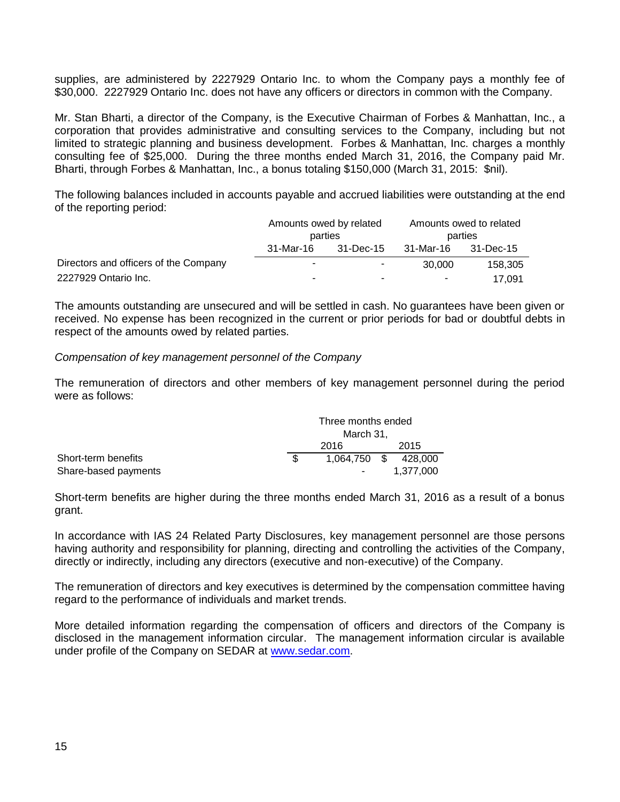supplies, are administered by 2227929 Ontario Inc. to whom the Company pays a monthly fee of \$30,000. 2227929 Ontario Inc. does not have any officers or directors in common with the Company.

Mr. Stan Bharti, a director of the Company, is the Executive Chairman of Forbes & Manhattan, Inc., a corporation that provides administrative and consulting services to the Company, including but not limited to strategic planning and business development. Forbes & Manhattan, Inc. charges a monthly consulting fee of \$25,000. During the three months ended March 31, 2016, the Company paid Mr. Bharti, through Forbes & Manhattan, Inc., a bonus totaling \$150,000 (March 31, 2015: \$nil).

The following balances included in accounts payable and accrued liabilities were outstanding at the end of the reporting period:

|                                       | Amounts owed by related<br>parties |           | Amounts owed to related<br>parties |           |  |
|---------------------------------------|------------------------------------|-----------|------------------------------------|-----------|--|
|                                       | 31-Mar-16                          | 31-Dec-15 | 31-Mar-16                          | 31-Dec-15 |  |
| Directors and officers of the Company |                                    | ۰.        | 30,000                             | 158.305   |  |
| 2227929 Ontario Inc.                  |                                    |           | $\sim$                             | 17.091    |  |

The amounts outstanding are unsecured and will be settled in cash. No guarantees have been given or received. No expense has been recognized in the current or prior periods for bad or doubtful debts in respect of the amounts owed by related parties.

#### *Compensation of key management personnel of the Company*

The remuneration of directors and other members of key management personnel during the period were as follows:

|                      | Three months ended |           |  |  |
|----------------------|--------------------|-----------|--|--|
|                      | March 31.          |           |  |  |
|                      | 2016               | 2015      |  |  |
| Short-term benefits  | 1,064,750 \$       | 428.000   |  |  |
| Share-based payments |                    | 1.377.000 |  |  |

Short-term benefits are higher during the three months ended March 31, 2016 as a result of a bonus grant.

In accordance with IAS 24 Related Party Disclosures, key management personnel are those persons having authority and responsibility for planning, directing and controlling the activities of the Company, directly or indirectly, including any directors (executive and non-executive) of the Company.

The remuneration of directors and key executives is determined by the compensation committee having regard to the performance of individuals and market trends.

More detailed information regarding the compensation of officers and directors of the Company is disclosed in the management information circular. The management information circular is available under profile of the Company on SEDAR at www.sedar.com.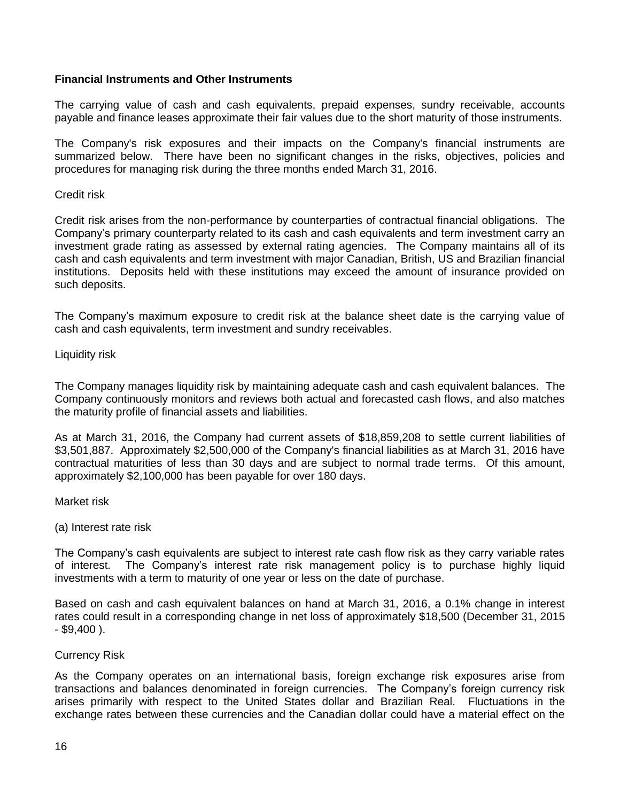## **Financial Instruments and Other Instruments**

The carrying value of cash and cash equivalents, prepaid expenses, sundry receivable, accounts payable and finance leases approximate their fair values due to the short maturity of those instruments.

The Company's risk exposures and their impacts on the Company's financial instruments are summarized below. There have been no significant changes in the risks, objectives, policies and procedures for managing risk during the three months ended March 31, 2016.

#### Credit risk

Credit risk arises from the non-performance by counterparties of contractual financial obligations. The Company's primary counterparty related to its cash and cash equivalents and term investment carry an investment grade rating as assessed by external rating agencies. The Company maintains all of its cash and cash equivalents and term investment with major Canadian, British, US and Brazilian financial institutions. Deposits held with these institutions may exceed the amount of insurance provided on such deposits.

The Company's maximum exposure to credit risk at the balance sheet date is the carrying value of cash and cash equivalents, term investment and sundry receivables.

#### Liquidity risk

The Company manages liquidity risk by maintaining adequate cash and cash equivalent balances. The Company continuously monitors and reviews both actual and forecasted cash flows, and also matches the maturity profile of financial assets and liabilities.

As at March 31, 2016, the Company had current assets of \$18,859,208 to settle current liabilities of \$3,501,887. Approximately \$2,500,000 of the Company's financial liabilities as at March 31, 2016 have contractual maturities of less than 30 days and are subject to normal trade terms. Of this amount, approximately \$2,100,000 has been payable for over 180 days.

#### Market risk

#### (a) Interest rate risk

The Company's cash equivalents are subject to interest rate cash flow risk as they carry variable rates of interest. The Company's interest rate risk management policy is to purchase highly liquid investments with a term to maturity of one year or less on the date of purchase.

Based on cash and cash equivalent balances on hand at March 31, 2016, a 0.1% change in interest rates could result in a corresponding change in net loss of approximately \$18,500 (December 31, 2015  $-$  \$9,400).

#### Currency Risk

As the Company operates on an international basis, foreign exchange risk exposures arise from transactions and balances denominated in foreign currencies. The Company's foreign currency risk arises primarily with respect to the United States dollar and Brazilian Real. Fluctuations in the exchange rates between these currencies and the Canadian dollar could have a material effect on the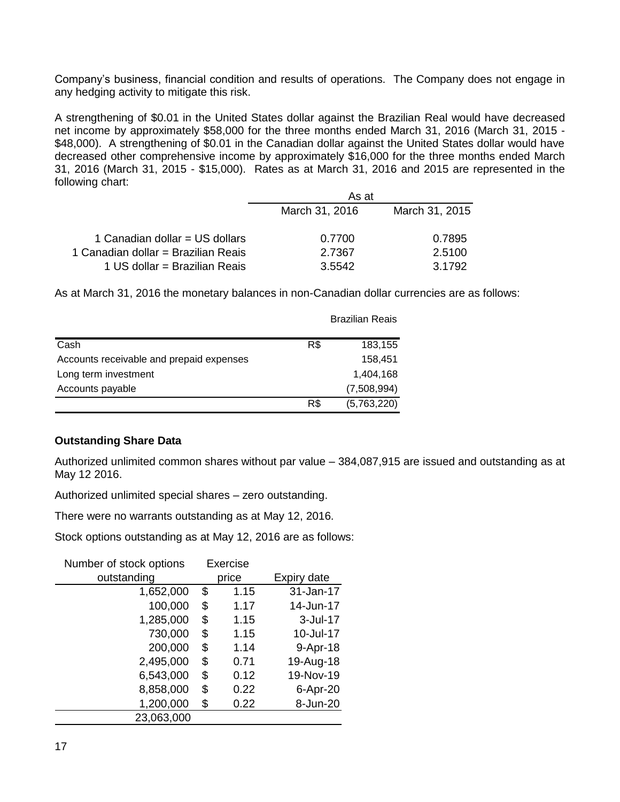Company's business, financial condition and results of operations. The Company does not engage in any hedging activity to mitigate this risk.

A strengthening of \$0.01 in the United States dollar against the Brazilian Real would have decreased net income by approximately \$58,000 for the three months ended March 31, 2016 (March 31, 2015 - \$48,000). A strengthening of \$0.01 in the Canadian dollar against the United States dollar would have decreased other comprehensive income by approximately \$16,000 for the three months ended March 31, 2016 (March 31, 2015 - \$15,000). Rates as at March 31, 2016 and 2015 are represented in the following chart:

|                                     | As at          |                |  |
|-------------------------------------|----------------|----------------|--|
|                                     | March 31, 2016 | March 31, 2015 |  |
| 1 Canadian dollar = US dollars      | 0.7700         | 0.7895         |  |
| 1 Canadian dollar = Brazilian Reais | 2.7367         | 2.5100         |  |
| 1 US dollar = Brazilian Reais       | 3.5542         | 3.1792         |  |

As at March 31, 2016 the monetary balances in non-Canadian dollar currencies are as follows:

|                                          |     | <b>Brazilian Reais</b> |
|------------------------------------------|-----|------------------------|
| Cash                                     | R\$ | 183,155                |
| Accounts receivable and prepaid expenses |     | 158,451                |
| Long term investment                     |     | 1,404,168              |
| Accounts payable                         |     | (7,508,994)            |
|                                          | R\$ | (5,763,220)            |

## **Outstanding Share Data**

Authorized unlimited common shares without par value – 384,087,915 are issued and outstanding as at May 12 2016.

Authorized unlimited special shares – zero outstanding.

There were no warrants outstanding as at May 12, 2016.

Stock options outstanding as at May 12, 2016 are as follows:

| Number of stock options | Exercise   |             |
|-------------------------|------------|-------------|
| outstanding             | price      | Expiry date |
| 1,652,000               | \$<br>1.15 | 31-Jan-17   |
| 100,000                 | \$<br>1.17 | 14-Jun-17   |
| 1,285,000               | \$<br>1.15 | 3-Jul-17    |
| 730,000                 | \$<br>1.15 | 10-Jul-17   |
| 200,000                 | \$<br>1.14 | 9-Apr-18    |
| 2,495,000               | \$<br>0.71 | 19-Aug-18   |
| 6,543,000               | \$<br>0.12 | 19-Nov-19   |
| 8,858,000               | \$<br>0.22 | 6-Apr-20    |
| 1,200,000               | \$<br>0.22 | 8-Jun-20    |
| 23,063,000              |            |             |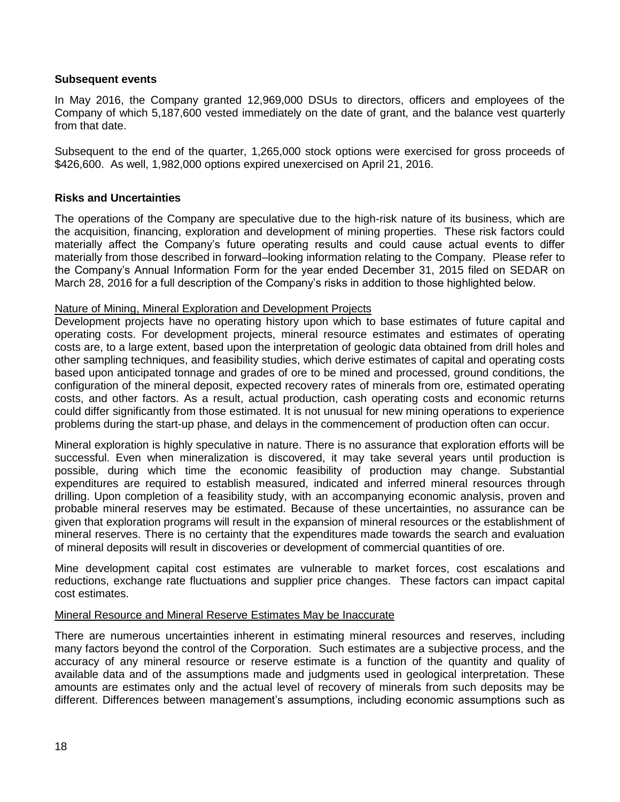### **Subsequent events**

In May 2016, the Company granted 12,969,000 DSUs to directors, officers and employees of the Company of which 5,187,600 vested immediately on the date of grant, and the balance vest quarterly from that date.

Subsequent to the end of the quarter, 1,265,000 stock options were exercised for gross proceeds of \$426,600. As well, 1,982,000 options expired unexercised on April 21, 2016.

### **Risks and Uncertainties**

The operations of the Company are speculative due to the high-risk nature of its business, which are the acquisition, financing, exploration and development of mining properties. These risk factors could materially affect the Company's future operating results and could cause actual events to differ materially from those described in forward–looking information relating to the Company. Please refer to the Company's Annual Information Form for the year ended December 31, 2015 filed on SEDAR on March 28, 2016 for a full description of the Company's risks in addition to those highlighted below.

### Nature of Mining, Mineral Exploration and Development Projects

Development projects have no operating history upon which to base estimates of future capital and operating costs. For development projects, mineral resource estimates and estimates of operating costs are, to a large extent, based upon the interpretation of geologic data obtained from drill holes and other sampling techniques, and feasibility studies, which derive estimates of capital and operating costs based upon anticipated tonnage and grades of ore to be mined and processed, ground conditions, the configuration of the mineral deposit, expected recovery rates of minerals from ore, estimated operating costs, and other factors. As a result, actual production, cash operating costs and economic returns could differ significantly from those estimated. It is not unusual for new mining operations to experience problems during the start-up phase, and delays in the commencement of production often can occur.

Mineral exploration is highly speculative in nature. There is no assurance that exploration efforts will be successful. Even when mineralization is discovered, it may take several years until production is possible, during which time the economic feasibility of production may change. Substantial expenditures are required to establish measured, indicated and inferred mineral resources through drilling. Upon completion of a feasibility study, with an accompanying economic analysis, proven and probable mineral reserves may be estimated. Because of these uncertainties, no assurance can be given that exploration programs will result in the expansion of mineral resources or the establishment of mineral reserves. There is no certainty that the expenditures made towards the search and evaluation of mineral deposits will result in discoveries or development of commercial quantities of ore.

Mine development capital cost estimates are vulnerable to market forces, cost escalations and reductions, exchange rate fluctuations and supplier price changes. These factors can impact capital cost estimates.

## Mineral Resource and Mineral Reserve Estimates May be Inaccurate

There are numerous uncertainties inherent in estimating mineral resources and reserves, including many factors beyond the control of the Corporation. Such estimates are a subjective process, and the accuracy of any mineral resource or reserve estimate is a function of the quantity and quality of available data and of the assumptions made and judgments used in geological interpretation. These amounts are estimates only and the actual level of recovery of minerals from such deposits may be different. Differences between management's assumptions, including economic assumptions such as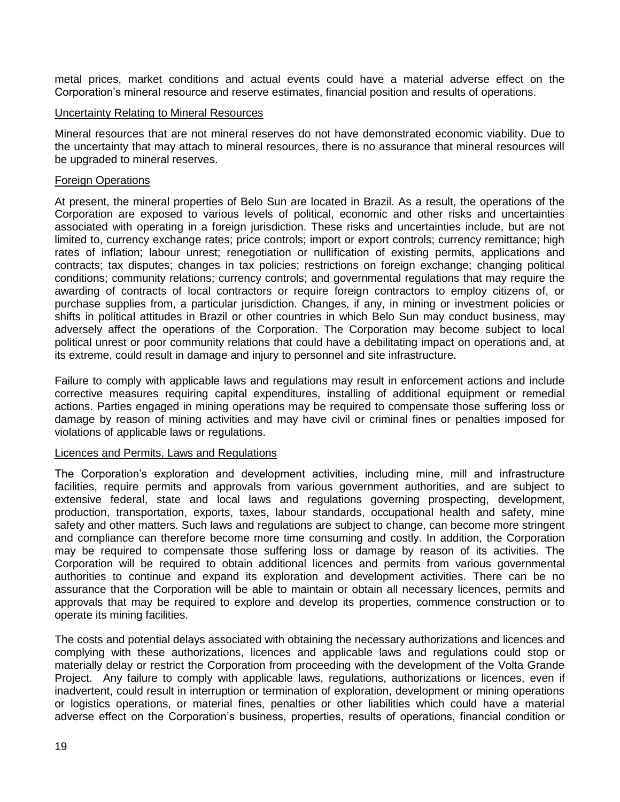metal prices, market conditions and actual events could have a material adverse effect on the Corporation's mineral resource and reserve estimates, financial position and results of operations.

#### Uncertainty Relating to Mineral Resources

Mineral resources that are not mineral reserves do not have demonstrated economic viability. Due to the uncertainty that may attach to mineral resources, there is no assurance that mineral resources will be upgraded to mineral reserves.

## Foreign Operations

At present, the mineral properties of Belo Sun are located in Brazil. As a result, the operations of the Corporation are exposed to various levels of political, economic and other risks and uncertainties associated with operating in a foreign jurisdiction. These risks and uncertainties include, but are not limited to, currency exchange rates; price controls; import or export controls; currency remittance; high rates of inflation; labour unrest; renegotiation or nullification of existing permits, applications and contracts; tax disputes; changes in tax policies; restrictions on foreign exchange; changing political conditions; community relations; currency controls; and governmental regulations that may require the awarding of contracts of local contractors or require foreign contractors to employ citizens of, or purchase supplies from, a particular jurisdiction. Changes, if any, in mining or investment policies or shifts in political attitudes in Brazil or other countries in which Belo Sun may conduct business, may adversely affect the operations of the Corporation. The Corporation may become subject to local political unrest or poor community relations that could have a debilitating impact on operations and, at its extreme, could result in damage and injury to personnel and site infrastructure.

Failure to comply with applicable laws and regulations may result in enforcement actions and include corrective measures requiring capital expenditures, installing of additional equipment or remedial actions. Parties engaged in mining operations may be required to compensate those suffering loss or damage by reason of mining activities and may have civil or criminal fines or penalties imposed for violations of applicable laws or regulations.

#### Licences and Permits, Laws and Regulations

The Corporation's exploration and development activities, including mine, mill and infrastructure facilities, require permits and approvals from various government authorities, and are subject to extensive federal, state and local laws and regulations governing prospecting, development, production, transportation, exports, taxes, labour standards, occupational health and safety, mine safety and other matters. Such laws and regulations are subject to change, can become more stringent and compliance can therefore become more time consuming and costly. In addition, the Corporation may be required to compensate those suffering loss or damage by reason of its activities. The Corporation will be required to obtain additional licences and permits from various governmental authorities to continue and expand its exploration and development activities. There can be no assurance that the Corporation will be able to maintain or obtain all necessary licences, permits and approvals that may be required to explore and develop its properties, commence construction or to operate its mining facilities.

The costs and potential delays associated with obtaining the necessary authorizations and licences and complying with these authorizations, licences and applicable laws and regulations could stop or materially delay or restrict the Corporation from proceeding with the development of the Volta Grande Project. Any failure to comply with applicable laws, regulations, authorizations or licences, even if inadvertent, could result in interruption or termination of exploration, development or mining operations or logistics operations, or material fines, penalties or other liabilities which could have a material adverse effect on the Corporation's business, properties, results of operations, financial condition or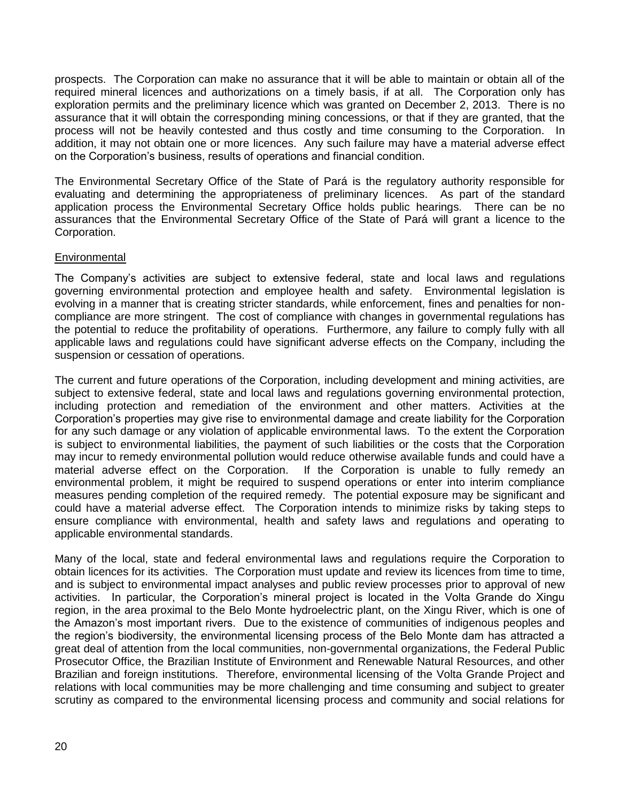prospects. The Corporation can make no assurance that it will be able to maintain or obtain all of the required mineral licences and authorizations on a timely basis, if at all. The Corporation only has exploration permits and the preliminary licence which was granted on December 2, 2013. There is no assurance that it will obtain the corresponding mining concessions, or that if they are granted, that the process will not be heavily contested and thus costly and time consuming to the Corporation. In addition, it may not obtain one or more licences. Any such failure may have a material adverse effect on the Corporation's business, results of operations and financial condition.

The Environmental Secretary Office of the State of Pará is the regulatory authority responsible for evaluating and determining the appropriateness of preliminary licences. As part of the standard application process the Environmental Secretary Office holds public hearings. There can be no assurances that the Environmental Secretary Office of the State of Pará will grant a licence to the Corporation.

## **Environmental**

The Company's activities are subject to extensive federal, state and local laws and regulations governing environmental protection and employee health and safety. Environmental legislation is evolving in a manner that is creating stricter standards, while enforcement, fines and penalties for noncompliance are more stringent. The cost of compliance with changes in governmental regulations has the potential to reduce the profitability of operations. Furthermore, any failure to comply fully with all applicable laws and regulations could have significant adverse effects on the Company, including the suspension or cessation of operations.

The current and future operations of the Corporation, including development and mining activities, are subject to extensive federal, state and local laws and regulations governing environmental protection, including protection and remediation of the environment and other matters. Activities at the Corporation's properties may give rise to environmental damage and create liability for the Corporation for any such damage or any violation of applicable environmental laws. To the extent the Corporation is subject to environmental liabilities, the payment of such liabilities or the costs that the Corporation may incur to remedy environmental pollution would reduce otherwise available funds and could have a material adverse effect on the Corporation. If the Corporation is unable to fully remedy an environmental problem, it might be required to suspend operations or enter into interim compliance measures pending completion of the required remedy. The potential exposure may be significant and could have a material adverse effect. The Corporation intends to minimize risks by taking steps to ensure compliance with environmental, health and safety laws and regulations and operating to applicable environmental standards.

Many of the local, state and federal environmental laws and regulations require the Corporation to obtain licences for its activities. The Corporation must update and review its licences from time to time, and is subject to environmental impact analyses and public review processes prior to approval of new activities. In particular, the Corporation's mineral project is located in the Volta Grande do Xingu region, in the area proximal to the Belo Monte hydroelectric plant, on the Xingu River, which is one of the Amazon's most important rivers. Due to the existence of communities of indigenous peoples and the region's biodiversity, the environmental licensing process of the Belo Monte dam has attracted a great deal of attention from the local communities, non-governmental organizations, the Federal Public Prosecutor Office, the Brazilian Institute of Environment and Renewable Natural Resources, and other Brazilian and foreign institutions. Therefore, environmental licensing of the Volta Grande Project and relations with local communities may be more challenging and time consuming and subject to greater scrutiny as compared to the environmental licensing process and community and social relations for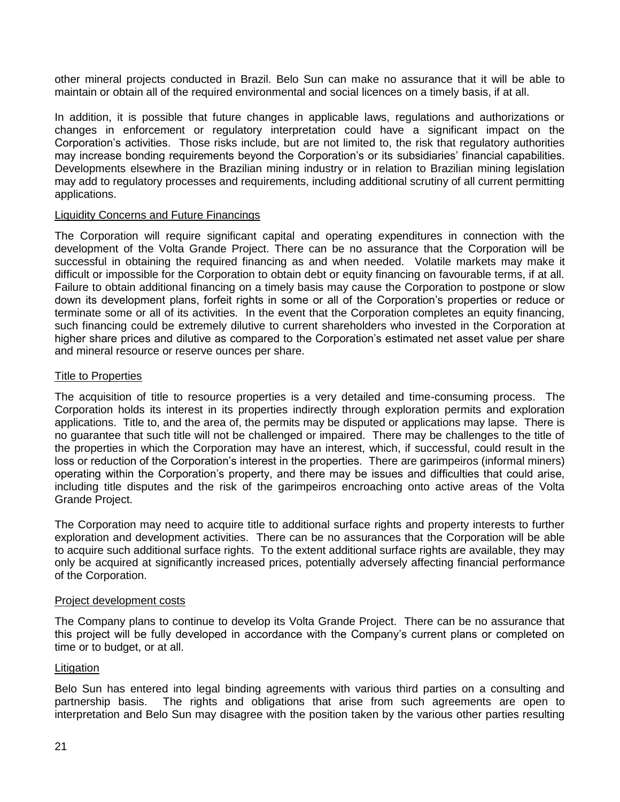other mineral projects conducted in Brazil. Belo Sun can make no assurance that it will be able to maintain or obtain all of the required environmental and social licences on a timely basis, if at all.

In addition, it is possible that future changes in applicable laws, regulations and authorizations or changes in enforcement or regulatory interpretation could have a significant impact on the Corporation's activities. Those risks include, but are not limited to, the risk that regulatory authorities may increase bonding requirements beyond the Corporation's or its subsidiaries' financial capabilities. Developments elsewhere in the Brazilian mining industry or in relation to Brazilian mining legislation may add to regulatory processes and requirements, including additional scrutiny of all current permitting applications.

#### Liquidity Concerns and Future Financings

The Corporation will require significant capital and operating expenditures in connection with the development of the Volta Grande Project. There can be no assurance that the Corporation will be successful in obtaining the required financing as and when needed. Volatile markets may make it difficult or impossible for the Corporation to obtain debt or equity financing on favourable terms, if at all. Failure to obtain additional financing on a timely basis may cause the Corporation to postpone or slow down its development plans, forfeit rights in some or all of the Corporation's properties or reduce or terminate some or all of its activities. In the event that the Corporation completes an equity financing, such financing could be extremely dilutive to current shareholders who invested in the Corporation at higher share prices and dilutive as compared to the Corporation's estimated net asset value per share and mineral resource or reserve ounces per share.

## Title to Properties

The acquisition of title to resource properties is a very detailed and time-consuming process. The Corporation holds its interest in its properties indirectly through exploration permits and exploration applications. Title to, and the area of, the permits may be disputed or applications may lapse. There is no guarantee that such title will not be challenged or impaired. There may be challenges to the title of the properties in which the Corporation may have an interest, which, if successful, could result in the loss or reduction of the Corporation's interest in the properties. There are garimpeiros (informal miners) operating within the Corporation's property, and there may be issues and difficulties that could arise, including title disputes and the risk of the garimpeiros encroaching onto active areas of the Volta Grande Project.

The Corporation may need to acquire title to additional surface rights and property interests to further exploration and development activities. There can be no assurances that the Corporation will be able to acquire such additional surface rights. To the extent additional surface rights are available, they may only be acquired at significantly increased prices, potentially adversely affecting financial performance of the Corporation.

## Project development costs

The Company plans to continue to develop its Volta Grande Project. There can be no assurance that this project will be fully developed in accordance with the Company's current plans or completed on time or to budget, or at all.

## **Litigation**

Belo Sun has entered into legal binding agreements with various third parties on a consulting and partnership basis. The rights and obligations that arise from such agreements are open to interpretation and Belo Sun may disagree with the position taken by the various other parties resulting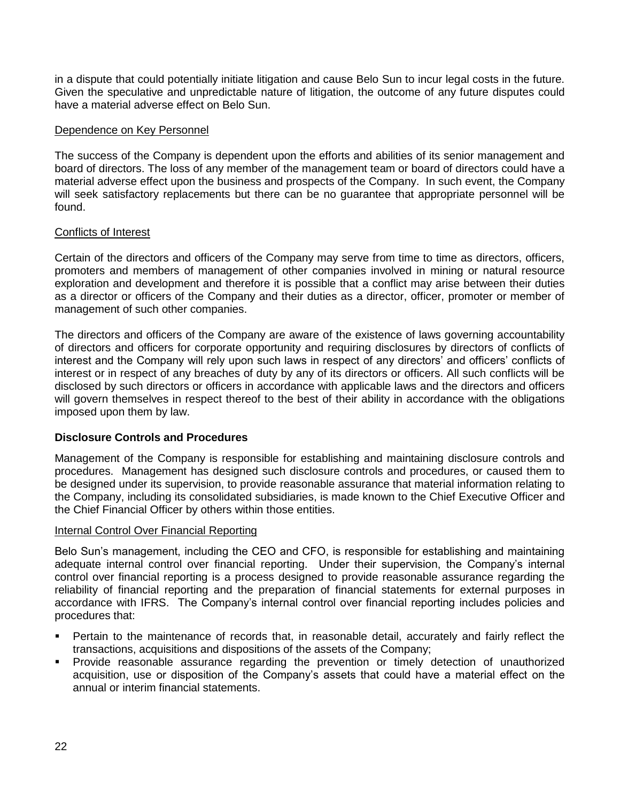in a dispute that could potentially initiate litigation and cause Belo Sun to incur legal costs in the future. Given the speculative and unpredictable nature of litigation, the outcome of any future disputes could have a material adverse effect on Belo Sun.

## Dependence on Key Personnel

The success of the Company is dependent upon the efforts and abilities of its senior management and board of directors. The loss of any member of the management team or board of directors could have a material adverse effect upon the business and prospects of the Company. In such event, the Company will seek satisfactory replacements but there can be no guarantee that appropriate personnel will be found.

### Conflicts of Interest

Certain of the directors and officers of the Company may serve from time to time as directors, officers, promoters and members of management of other companies involved in mining or natural resource exploration and development and therefore it is possible that a conflict may arise between their duties as a director or officers of the Company and their duties as a director, officer, promoter or member of management of such other companies.

The directors and officers of the Company are aware of the existence of laws governing accountability of directors and officers for corporate opportunity and requiring disclosures by directors of conflicts of interest and the Company will rely upon such laws in respect of any directors' and officers' conflicts of interest or in respect of any breaches of duty by any of its directors or officers. All such conflicts will be disclosed by such directors or officers in accordance with applicable laws and the directors and officers will govern themselves in respect thereof to the best of their ability in accordance with the obligations imposed upon them by law.

## **Disclosure Controls and Procedures**

Management of the Company is responsible for establishing and maintaining disclosure controls and procedures. Management has designed such disclosure controls and procedures, or caused them to be designed under its supervision, to provide reasonable assurance that material information relating to the Company, including its consolidated subsidiaries, is made known to the Chief Executive Officer and the Chief Financial Officer by others within those entities.

## Internal Control Over Financial Reporting

Belo Sun's management, including the CEO and CFO, is responsible for establishing and maintaining adequate internal control over financial reporting. Under their supervision, the Company's internal control over financial reporting is a process designed to provide reasonable assurance regarding the reliability of financial reporting and the preparation of financial statements for external purposes in accordance with IFRS. The Company's internal control over financial reporting includes policies and procedures that:

- Pertain to the maintenance of records that, in reasonable detail, accurately and fairly reflect the transactions, acquisitions and dispositions of the assets of the Company;
- Provide reasonable assurance regarding the prevention or timely detection of unauthorized acquisition, use or disposition of the Company's assets that could have a material effect on the annual or interim financial statements.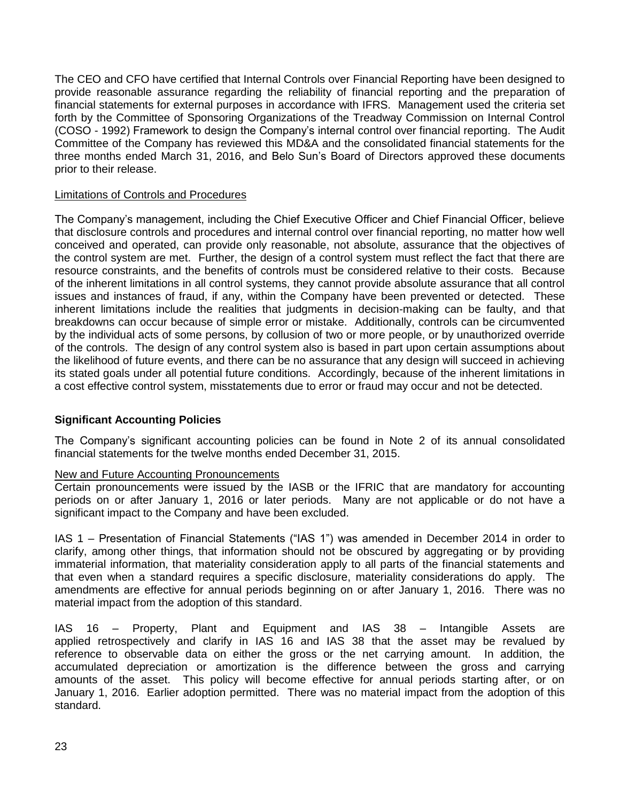The CEO and CFO have certified that Internal Controls over Financial Reporting have been designed to provide reasonable assurance regarding the reliability of financial reporting and the preparation of financial statements for external purposes in accordance with IFRS. Management used the criteria set forth by the Committee of Sponsoring Organizations of the Treadway Commission on Internal Control (COSO - 1992) Framework to design the Company's internal control over financial reporting. The Audit Committee of the Company has reviewed this MD&A and the consolidated financial statements for the three months ended March 31, 2016, and Belo Sun's Board of Directors approved these documents prior to their release.

## Limitations of Controls and Procedures

The Company's management, including the Chief Executive Officer and Chief Financial Officer, believe that disclosure controls and procedures and internal control over financial reporting, no matter how well conceived and operated, can provide only reasonable, not absolute, assurance that the objectives of the control system are met. Further, the design of a control system must reflect the fact that there are resource constraints, and the benefits of controls must be considered relative to their costs. Because of the inherent limitations in all control systems, they cannot provide absolute assurance that all control issues and instances of fraud, if any, within the Company have been prevented or detected. These inherent limitations include the realities that judgments in decision-making can be faulty, and that breakdowns can occur because of simple error or mistake. Additionally, controls can be circumvented by the individual acts of some persons, by collusion of two or more people, or by unauthorized override of the controls. The design of any control system also is based in part upon certain assumptions about the likelihood of future events, and there can be no assurance that any design will succeed in achieving its stated goals under all potential future conditions. Accordingly, because of the inherent limitations in a cost effective control system, misstatements due to error or fraud may occur and not be detected.

# **Significant Accounting Policies**

The Company's significant accounting policies can be found in Note 2 of its annual consolidated financial statements for the twelve months ended December 31, 2015.

## New and Future Accounting Pronouncements

Certain pronouncements were issued by the IASB or the IFRIC that are mandatory for accounting periods on or after January 1, 2016 or later periods. Many are not applicable or do not have a significant impact to the Company and have been excluded.

IAS 1 – Presentation of Financial Statements ("IAS 1") was amended in December 2014 in order to clarify, among other things, that information should not be obscured by aggregating or by providing immaterial information, that materiality consideration apply to all parts of the financial statements and that even when a standard requires a specific disclosure, materiality considerations do apply. The amendments are effective for annual periods beginning on or after January 1, 2016. There was no material impact from the adoption of this standard.

IAS 16 – Property, Plant and Equipment and IAS 38 – Intangible Assets are applied retrospectively and clarify in IAS 16 and IAS 38 that the asset may be revalued by reference to observable data on either the gross or the net carrying amount. In addition, the accumulated depreciation or amortization is the difference between the gross and carrying amounts of the asset. This policy will become effective for annual periods starting after, or on January 1, 2016. Earlier adoption permitted. There was no material impact from the adoption of this standard.